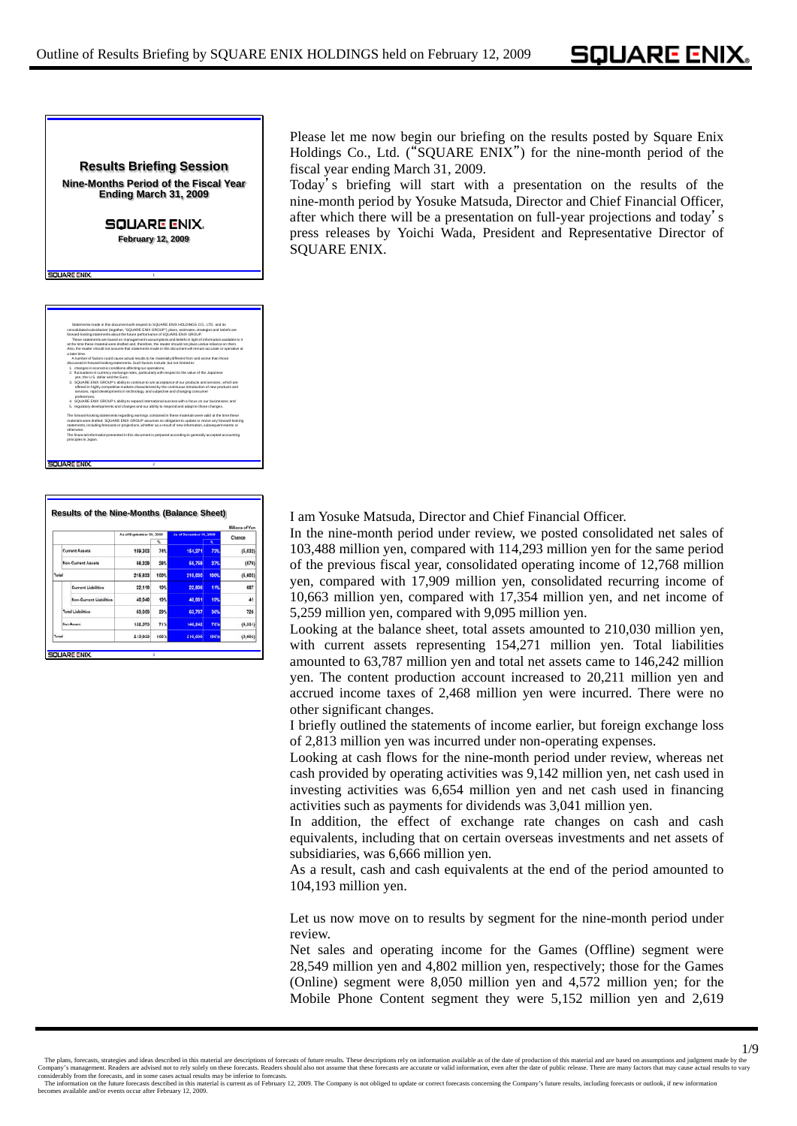## **Results Briefing Session Nine-Months Period of the Fiscal Year Ending March 31, 2009**

**SQUARE ENIX. February 12, 2009**

**1**



**2**

**TABE ENIV** 

|                |  |                                     |                          |      |                         |      | <b>Millions of Yen</b> |
|----------------|--|-------------------------------------|--------------------------|------|-------------------------|------|------------------------|
|                |  |                                     | As of September 30, 2008 |      | As of December 31, 2008 |      | Change                 |
|                |  |                                     |                          | x    |                         | ĸ    |                        |
| Current Assets |  |                                     | 159,303                  | 74%  | 154.271                 | 73%  | (5.032)                |
|                |  | <b>Non-Current Assets</b><br>58,329 |                          | 24%  | 55.759                  | 27%  | (570)                  |
| Total          |  |                                     | 215,633                  | 100% | 210.030                 | 100% | (5, 603)               |
|                |  | <b>Current Liabilities</b>          | 22.119                   | 10%  | 22.806                  | 11%  | 687                    |
|                |  | Non-Current Liabilities             | 40.940                   | 19%  | 40.981                  | 19%  | 41                     |
|                |  | <b>Total Liabilities</b>            | 63.059                   | 29%  | 63.787                  | 50%  | 728                    |
|                |  | Net Asset                           | 152,573                  | 71%  | 146.242                 | 70%  | (6, 535)               |
| Total          |  |                                     | 215,633                  | 100% | 210,050                 | 100% | (5,600)                |

Please let me now begin our briefing on the results posted by Square Enix Holdings Co., Ltd. ("SQUARE ENIX") for the nine-month period of the fiscal year ending March 31, 2009.

Today's briefing will start with a presentation on the results of the nine-month period by Yosuke Matsuda, Director and Chief Financial Officer, after which there will be a presentation on full-year projections and today's press releases by Yoichi Wada, President and Representative Director of SQUARE ENIX.

**Results of the Nine-Months (Balance Sheet)** I am Yosuke Matsuda, Director and Chief Financial Officer.

In the nine-month period under review, we posted consolidated net sales of 103,488 million yen, compared with 114,293 million yen for the same period of the previous fiscal year, consolidated operating income of 12,768 million yen, compared with 17,909 million yen, consolidated recurring income of 10,663 million yen, compared with 17,354 million yen, and net income of 5,259 million yen, compared with 9,095 million yen.

Looking at the balance sheet, total assets amounted to 210,030 million yen, with current assets representing 154,271 million yen. Total liabilities amounted to 63,787 million yen and total net assets came to 146,242 million yen. The content production account increased to 20,211 million yen and accrued income taxes of 2,468 million yen were incurred. There were no other significant changes.

I briefly outlined the statements of income earlier, but foreign exchange loss of 2,813 million yen was incurred under non-operating expenses.

Looking at cash flows for the nine-month period under review, whereas net cash provided by operating activities was 9,142 million yen, net cash used in investing activities was 6,654 million yen and net cash used in financing activities such as payments for dividends was 3,041 million yen.

In addition, the effect of exchange rate changes on cash and cash equivalents, including that on certain overseas investments and net assets of subsidiaries, was 6,666 million yen.

As a result, cash and cash equivalents at the end of the period amounted to 104,193 million yen.

Let us now move on to results by segment for the nine-month period under review.

Net sales and operating income for the Games (Offline) segment were 28,549 million yen and 4,802 million yen, respectively; those for the Games (Online) segment were 8,050 million yen and 4,572 million yen; for the Mobile Phone Content segment they were 5,152 million yen and 2,619

The information on the future forecasts described in this material is current as of February 12, 2009. The Company is not obliged to update or correct forecasts concerning the Company's future results, including forecasts becomes about a becomes a matrix available and/or events occur after February 12, 2009.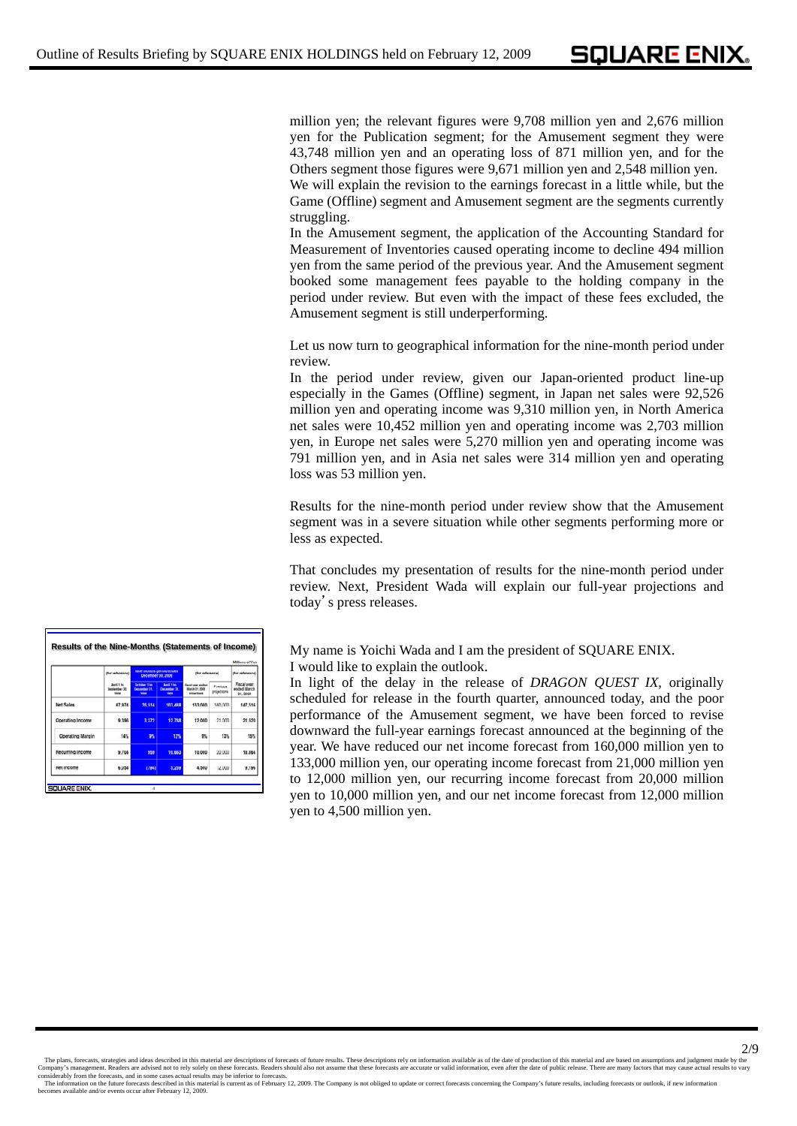million yen; the relevant figures were 9,708 million yen and 2,676 million yen for the Publication segment; for the Amusement segment they were 43,748 million yen and an operating loss of 871 million yen, and for the Others segment those figures were 9,671 million yen and 2,548 million yen. We will explain the revision to the earnings forecast in a little while, but the

Game (Offline) segment and Amusement segment are the segments currently struggling.

In the Amusement segment, the application of the Accounting Standard for Measurement of Inventories caused operating income to decline 494 million yen from the same period of the previous year. And the Amusement segment booked some management fees payable to the holding company in the period under review. But even with the impact of these fees excluded, the Amusement segment is still underperforming.

Let us now turn to geographical information for the nine-month period under review.

In the period under review, given our Japan-oriented product line-up especially in the Games (Offline) segment, in Japan net sales were 92,526 million yen and operating income was 9,310 million yen, in North America net sales were 10,452 million yen and operating income was 2,703 million yen, in Europe net sales were 5,270 million yen and operating income was 791 million yen, and in Asia net sales were 314 million yen and operating loss was 53 million yen.

Results for the nine-month period under review show that the Amusement segment was in a severe situation while other segments performing more or less as expected.

That concludes my presentation of results for the nine-month period under review. Next, President Wada will explain our full-year projections and today's press releases.

**Results of the Nine-Months (Statements of Income)** My name is Yoichi Wada and I am the president of SQUARE ENIX.

I would like to explain the outlook.

In light of the delay in the release of *DRAGON QUEST IX*, originally scheduled for release in the fourth quarter, announced today, and the poor performance of the Amusement segment, we have been forced to revise downward the full-year earnings forecast announced at the beginning of the year. We have reduced our net income forecast from 160,000 million yen to 133,000 million yen, our operating income forecast from 21,000 million yen to 12,000 million yen, our recurring income forecast from 20,000 million yen to 10,000 million yen, and our net income forecast from 12,000 million yen to 4,500 million yen.

|                  |                                     |                                               |                                                      |                                                          |                         | <b>Millions of Yen</b>                        |  |  |  |  |  |
|------------------|-------------------------------------|-----------------------------------------------|------------------------------------------------------|----------------------------------------------------------|-------------------------|-----------------------------------------------|--|--|--|--|--|
|                  | (for reference)                     | Nine months period ended<br>December 30, 2008 |                                                      | (for reference)                                          | that reference)         |                                               |  |  |  |  |  |
|                  | April 1 to<br>September 30.<br>3604 | October 13p<br>December 31.<br><b>MODE</b>    | <b>And I to</b><br><b>Cecamber 31</b><br><b>MARK</b> | <b>Face</b> year ending<br>March 21, 2008<br>projections | Previous<br>projections | <b>Fiscal year</b><br>ended March<br>31, 2008 |  |  |  |  |  |
| <b>Net Sales</b> | 67.974                              | 35.514                                        | 103,488                                              | 133,000                                                  | 160,000                 | 147,516                                       |  |  |  |  |  |
| Operating Income | 9.396                               | 3.372                                         | 12.768                                               | 12,000                                                   | 21.000                  | 21.520                                        |  |  |  |  |  |
| Operating Margin | 14%                                 | 露                                             | 12%                                                  | 9%                                                       | 13%                     | 15%                                           |  |  |  |  |  |
| Recurring Income | 9,704                               | 959                                           | 10,683                                               | 10,000                                                   | 20,000                  | 18,864                                        |  |  |  |  |  |
| Net Income       | 6,054                               | (T94)                                         | 5,259                                                | 4,500                                                    | 12,000                  | 9,196                                         |  |  |  |  |  |

The plans, forecasts, strategies and ideas described in this material are descriptions of forecasts of future results. These descriptions rely on information available as of the date of production of this material and are

The information on the future forecasts described in this material is current as of February 12, 2009. The Company is not obliged to update or correct forecasts concerning the Company's future results, including forecasts becomes about a becomes a matrix available and/or events occur after February 12, 2009.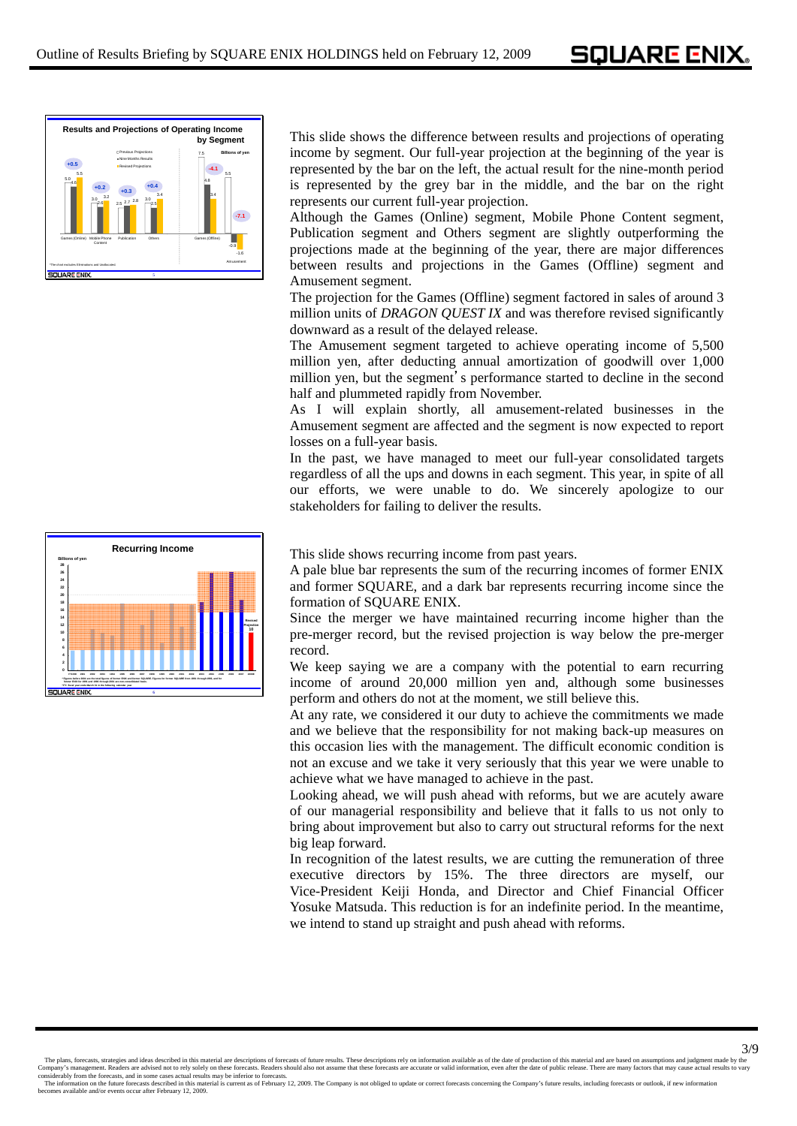SOUARE ENIX.



This slide shows the difference between results and projections of operating income by segment. Our full-year projection at the beginning of the year is represented by the bar on the left, the actual result for the nine-month period is represented by the grey bar in the middle, and the bar on the right represents our current full-year projection.

Although the Games (Online) segment, Mobile Phone Content segment, Publication segment and Others segment are slightly outperforming the projections made at the beginning of the year, there are major differences between results and projections in the Games (Offline) segment and Amusement segment.

The projection for the Games (Offline) segment factored in sales of around 3 million units of *DRAGON QUEST IX* and was therefore revised significantly downward as a result of the delayed release.

The Amusement segment targeted to achieve operating income of 5,500 million yen, after deducting annual amortization of goodwill over 1,000 million yen, but the segment's performance started to decline in the second half and plummeted rapidly from November.

As I will explain shortly, all amusement-related businesses in the Amusement segment are affected and the segment is now expected to report losses on a full-year basis.

In the past, we have managed to meet our full-year consolidated targets regardless of all the ups and downs in each segment. This year, in spite of all our efforts, we were unable to do. We sincerely apologize to our stakeholders for failing to deliver the results.



This slide shows recurring income from past years.

A pale blue bar represents the sum of the recurring incomes of former ENIX and former SQUARE, and a dark bar represents recurring income since the formation of SQUARE ENIX.

Since the merger we have maintained recurring income higher than the pre-merger record, but the revised projection is way below the pre-merger record.

We keep saying we are a company with the potential to earn recurring income of around 20,000 million yen and, although some businesses perform and others do not at the moment, we still believe this.

At any rate, we considered it our duty to achieve the commitments we made and we believe that the responsibility for not making back-up measures on this occasion lies with the management. The difficult economic condition is not an excuse and we take it very seriously that this year we were unable to achieve what we have managed to achieve in the past.

Looking ahead, we will push ahead with reforms, but we are acutely aware of our managerial responsibility and believe that it falls to us not only to bring about improvement but also to carry out structural reforms for the next big leap forward.

In recognition of the latest results, we are cutting the remuneration of three executive directors by 15%. The three directors are myself, our Vice-President Keiji Honda, and Director and Chief Financial Officer Yosuke Matsuda. This reduction is for an indefinite period. In the meantime, we intend to stand up straight and push ahead with reforms.

The plans, forecasts, strategies and ideas described in this material are descriptions of forecasts of future results. These descriptions rely on information available as of the date of production of this material and are

The information on the future forecasts described in this material is current as of February 12, 2009. The Company is not obliged to update or correct forecasts concerning the Company's future results, including forecasts becomes about the series and the series of the series of the series of the state of the state and for events occur after February 12, 2009.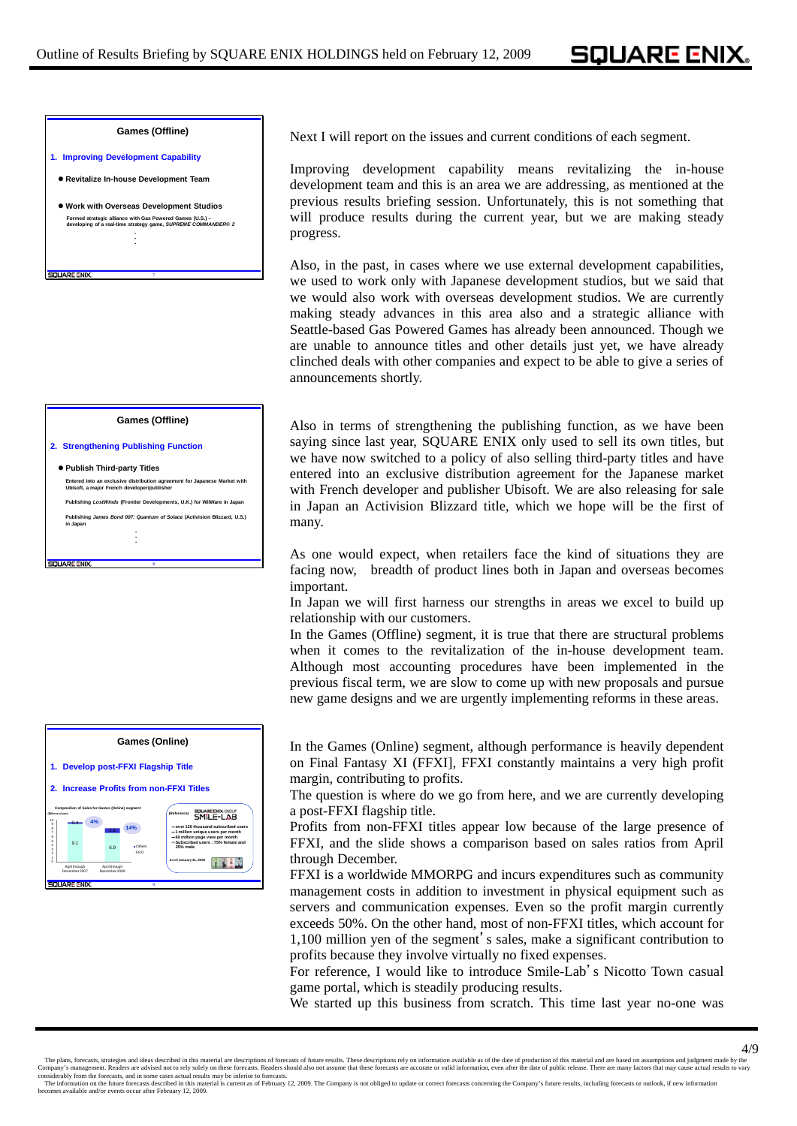**SQUARE ENIX.** 

## **Games (Offline)**

- **1. Improving Development Capability**
- **Revitalize In-house Development Team**
- z **Work with Overseas Development Studios Formed strategic alliance with Gas Powered Games (U.S.) – developing of a real-time strategy game,** *SUPREME COMMANDER***®** *2*  ・ ・ ・

## **Games (Offline)**

**2. Strengthening Publishing Function**

**SOUARE ENIX** 

## z **Publish Third-party Titles** ・ ・ ・ **Publishing** *James Bond 007: Quantum of Solace* **(Activision Blizzard, U.S.) in Japan Entered into an exclusive distribution agreement for Japanese Market with Ubisoft, a major French developer/publisher Publishing** *LostWinds* **(Frontier Developments, U.K.) for WiiWare in Japan** *La***pan** *La*

**8**



Next I will report on the issues and current conditions of each segment.

Improving development capability means revitalizing the in-house development team and this is an area we are addressing, as mentioned at the previous results briefing session. Unfortunately, this is not something that will produce results during the current year, but we are making steady progress.

Also, in the past, in cases where we use external development capabilities, we used to work only with Japanese development studios, but we said that we would also work with overseas development studios. We are currently making steady advances in this area also and a strategic alliance with Seattle-based Gas Powered Games has already been announced. Though we are unable to announce titles and other details just yet, we have already clinched deals with other companies and expect to be able to give a series of announcements shortly.

Also in terms of strengthening the publishing function, as we have been saying since last year, SQUARE ENIX only used to sell its own titles, but we have now switched to a policy of also selling third-party titles and have entered into an exclusive distribution agreement for the Japanese market with French developer and publisher Ubisoft. We are also releasing for sale in Japan an Activision Blizzard title, which we hope will be the first of many.

As one would expect, when retailers face the kind of situations they are facing now, breadth of product lines both in Japan and overseas becomes important.

In Japan we will first harness our strengths in areas we excel to build up relationship with our customers.

In the Games (Offline) segment, it is true that there are structural problems when it comes to the revitalization of the in-house development team. Although most accounting procedures have been implemented in the previous fiscal term, we are slow to come up with new proposals and pursue new game designs and we are urgently implementing reforms in these areas.

In the Games (Online) segment, although performance is heavily dependent on Final Fantasy XI (FFXI], FFXI constantly maintains a very high profit margin, contributing to profits.

The question is where do we go from here, and we are currently developing a post-FFXI flagship title.

Profits from non-FFXI titles appear low because of the large presence of FFXI, and the slide shows a comparison based on sales ratios from April through December.

FFXI is a worldwide MMORPG and incurs expenditures such as community management costs in addition to investment in physical equipment such as servers and communication expenses. Even so the profit margin currently exceeds 50%. On the other hand, most of non-FFXI titles, which account for 1,100 million yen of the segment's sales, make a significant contribution to profits because they involve virtually no fixed expenses.

For reference, I would like to introduce Smile-Lab's Nicotto Town casual game portal, which is steadily producing results.

We started up this business from scratch. This time last year no-one was

The information on the future forecasts described in this material is current as of February 12, 2009. The Company is not obliged to update or correct forecasts concerning the Company's future results, including forecasts becomes about the series and the series of the series of the series of the state of the state and for events occur after February 12, 2009.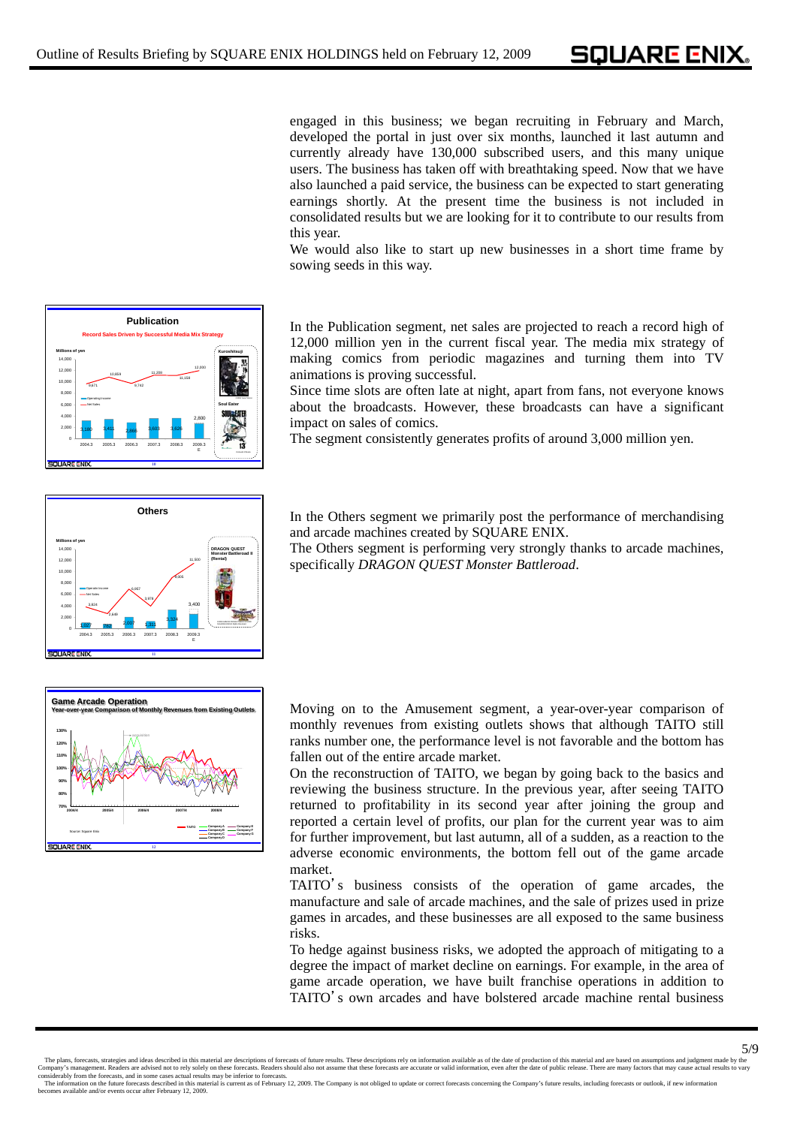SOUARE ENIX.

engaged in this business; we began recruiting in February and March, developed the portal in just over six months, launched it last autumn and currently already have 130,000 subscribed users, and this many unique users. The business has taken off with breathtaking speed. Now that we have also launched a paid service, the business can be expected to start generating earnings shortly. At the present time the business is not included in consolidated results but we are looking for it to contribute to our results from this year.

We would also like to start up new businesses in a short time frame by sowing seeds in this way.

**Publication** In the Publication segment, net sales are projected to reach a record high of 12,000 million yen in the current fiscal year. The media mix strategy of making comics from periodic magazines and turning them into TV animations is proving successful.

> Since time slots are often late at night, apart from fans, not everyone knows about the broadcasts. However, these broadcasts can have a significant impact on sales of comics.

The segment consistently generates profits of around 3,000 million yen.



2,800

**Soul Eater**

**Kuroshitsuji**

©Atsushi Ohkubo

E

11,158 12,000

**10**

3,180 3,411 2,866 3,603 3,626

2004.3 2005.3 2006.3 2007.3 2008.3 2009.3

9,671 10,859 9,742 11,208

Operating Income Net Sales

0 2,000 4,000 6,000 8,000 10,00<br>10,00 12,000 14,000

SOUARE END

**Millions of yen**

**Record Sales Driven by Successful Media Mix Strategy**

In the Others segment we primarily post the performance of merchandising and arcade machines created by SQUARE ENIX.

The Others segment is performing very strongly thanks to arcade machines, specifically *DRAGON QUEST Monster Battleroad*.



Moving on to the Amusement segment, a year-over-year comparison of monthly revenues from existing outlets shows that although TAITO still ranks number one, the performance level is not favorable and the bottom has fallen out of the entire arcade market.

On the reconstruction of TAITO, we began by going back to the basics and reviewing the business structure. In the previous year, after seeing TAITO returned to profitability in its second year after joining the group and reported a certain level of profits, our plan for the current year was to aim for further improvement, but last autumn, all of a sudden, as a reaction to the adverse economic environments, the bottom fell out of the game arcade market.

TAITO's business consists of the operation of game arcades, the manufacture and sale of arcade machines, and the sale of prizes used in prize games in arcades, and these businesses are all exposed to the same business risks.

To hedge against business risks, we adopted the approach of mitigating to a degree the impact of market decline on earnings. For example, in the area of game arcade operation, we have built franchise operations in addition to TAITO's own arcades and have bolstered arcade machine rental business

The information on the future forecasts described in this material is current as of February 12, 2009. The Company is not obliged to update or correct forecasts concerning the Company's future results, including forecasts becomes about the series and the series of the series of the series of the state of the state and for events occur after February 12, 2009.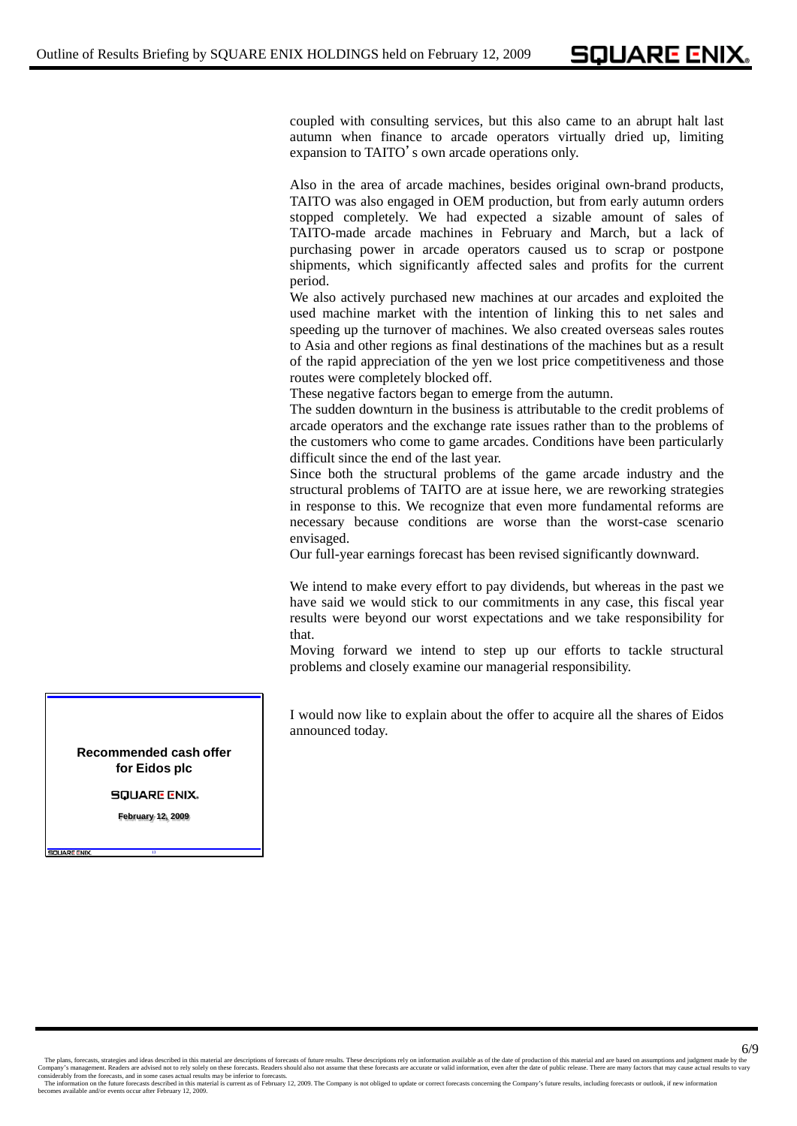coupled with consulting services, but this also came to an abrupt halt last autumn when finance to arcade operators virtually dried up, limiting expansion to TAITO's own arcade operations only.

Also in the area of arcade machines, besides original own-brand products, TAITO was also engaged in OEM production, but from early autumn orders stopped completely. We had expected a sizable amount of sales of TAITO-made arcade machines in February and March, but a lack of purchasing power in arcade operators caused us to scrap or postpone shipments, which significantly affected sales and profits for the current period.

We also actively purchased new machines at our arcades and exploited the used machine market with the intention of linking this to net sales and speeding up the turnover of machines. We also created overseas sales routes to Asia and other regions as final destinations of the machines but as a result of the rapid appreciation of the yen we lost price competitiveness and those routes were completely blocked off.

These negative factors began to emerge from the autumn.

The sudden downturn in the business is attributable to the credit problems of arcade operators and the exchange rate issues rather than to the problems of the customers who come to game arcades. Conditions have been particularly difficult since the end of the last year.

Since both the structural problems of the game arcade industry and the structural problems of TAITO are at issue here, we are reworking strategies in response to this. We recognize that even more fundamental reforms are necessary because conditions are worse than the worst-case scenario envisaged.

Our full-year earnings forecast has been revised significantly downward.

We intend to make every effort to pay dividends, but whereas in the past we have said we would stick to our commitments in any case, this fiscal year results were beyond our worst expectations and we take responsibility for that.

Moving forward we intend to step up our efforts to tackle structural problems and closely examine our managerial responsibility.

I would now like to explain about the offer to acquire all the shares of Eidos announced today.

**Recommended cash offer for Eidos plc**

**SQUARE ENIX.** 

**February 12, 2009**

**13**

**SQUARE ENIX** 

The plans, forecasts, strategies and ideas described in this material are descriptions of forecasts of future results. These descriptions rely on information available as of the date of production of this material and are The information on the future forecasts described in this material is current as of February 12, 2009. The Company is not obliged to update or correct forecasts concerning the Company's future results, including forecasts becomes about the series and the series of the series of the series of the state of the state and for events occur after February 12, 2009.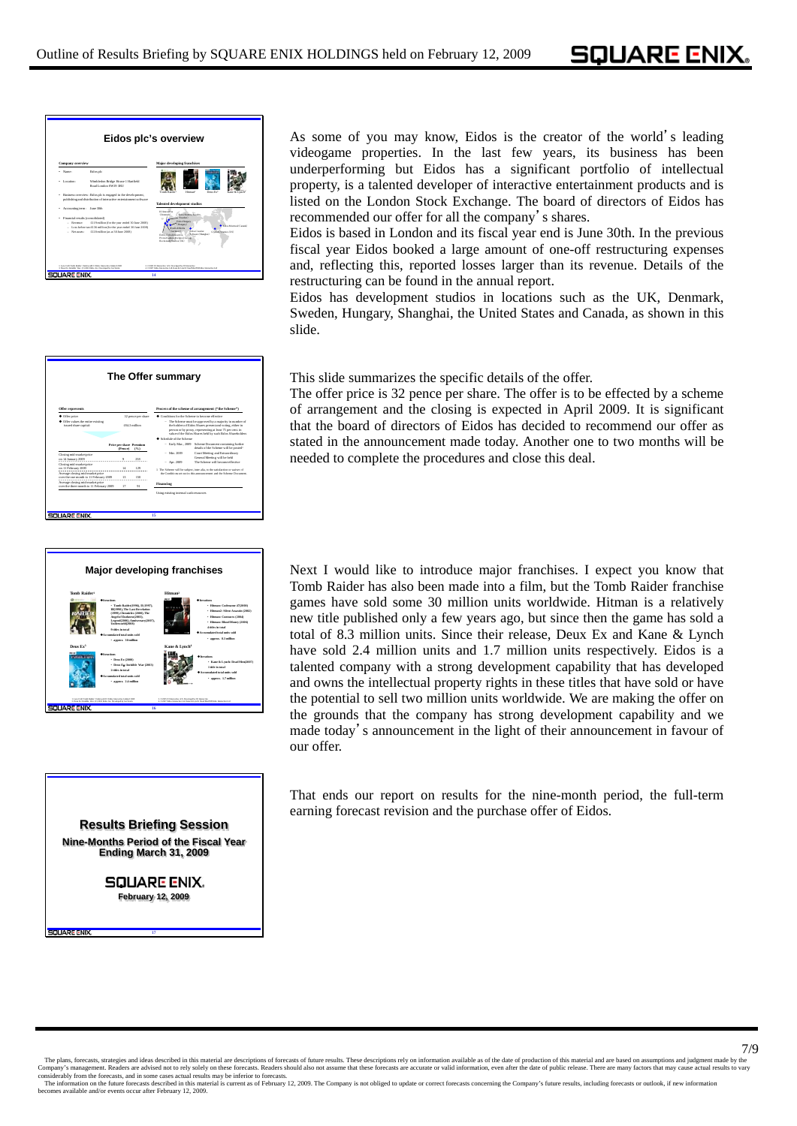SOUARE ENIX.



|                                                                                                                                                                                                                                                                                                                                                                                     |                                           |            | The Offer summary                             |                                                                                                                                                                                        |
|-------------------------------------------------------------------------------------------------------------------------------------------------------------------------------------------------------------------------------------------------------------------------------------------------------------------------------------------------------------------------------------|-------------------------------------------|------------|-----------------------------------------------|----------------------------------------------------------------------------------------------------------------------------------------------------------------------------------------|
| Offer represents                                                                                                                                                                                                                                                                                                                                                                    |                                           |            |                                               | Process of the scheme of arrangement ("the Scheme")                                                                                                                                    |
| Conditions for the Scheme to become effective.<br>$\blacklozenge$ Offer reject.<br>32 pence per share<br>+ Offer values the entire existing<br>- The Scheme must be approved by a majority in number of<br><b>OLL 3 million</b><br>issued share carrital:<br>the holders of Eidos Shares recoent and voting, either in<br>person or by proxy, representing at least 75 per cent. in |                                           |            |                                               | value of the Eidos Shares held by such Eidos Shareholders.                                                                                                                             |
|                                                                                                                                                                                                                                                                                                                                                                                     | <b>Price per share Premium</b><br>(Pence) | (56)       | Celestele of the Scheme<br>- Early Mar., 2009 | Scheme Document containing further<br>details of the Scheme will be posted!                                                                                                            |
| Closing mid-market price<br>on 14 January 2009                                                                                                                                                                                                                                                                                                                                      | ۰                                         | 258        | $-$ Mar $2000$                                | Court Meeting and Extraordinary<br>General Meeting will be held                                                                                                                        |
| Closing mid-market price<br>on 11 February 2009<br>Average closing mid-market reice<br>over the one month to 11 February 2009.                                                                                                                                                                                                                                                      | 1.4<br>13                                 | 170<br>150 | $-$ Are. $2009$                               | The Schons will become effective.<br>1 The Scheme will be subject, inter alia, to the satisfaction or waiver of<br>the Conditions set out in this amouncement and the Scheme Document. |
| Average closing mid-market reice<br>over the three month to 11 February 2009.                                                                                                                                                                                                                                                                                                       | 17                                        | $^{01}$    | Financing                                     |                                                                                                                                                                                        |
|                                                                                                                                                                                                                                                                                                                                                                                     |                                           |            | Using existing internal cash resources        |                                                                                                                                                                                        |



**Results Briefing Session Nine-Months Period of the Fiscal Year Ending March 31, 2009**

> **SQUARE ENIX. February 12, 2009**

> > **17**

As some of you may know, Eidos is the creator of the world's leading videogame properties. In the last few years, its business has been underperforming but Eidos has a significant portfolio of intellectual property, is a talented developer of interactive entertainment products and is listed on the London Stock Exchange. The board of directors of Eidos has recommended our offer for all the company's shares.

Eidos is based in London and its fiscal year end is June 30th. In the previous fiscal year Eidos booked a large amount of one-off restructuring expenses and, reflecting this, reported losses larger than its revenue. Details of the restructuring can be found in the annual report.

Eidos has development studios in locations such as the UK, Denmark, Sweden, Hungary, Shanghai, the United States and Canada, as shown in this slide.

This slide summarizes the specific details of the offer.

The offer price is 32 pence per share. The offer is to be effected by a scheme of arrangement and the closing is expected in April 2009. It is significant that the board of directors of Eidos has decided to recommend our offer as stated in the announcement made today. Another one to two months will be needed to complete the procedures and close this deal.

Next I would like to introduce major franchises. I expect you know that Tomb Raider has also been made into a film, but the Tomb Raider franchise games have sold some 30 million units worldwide. Hitman is a relatively new title published only a few years ago, but since then the game has sold a total of 8.3 million units. Since their release, Deux Ex and Kane & Lynch have sold 2.4 million units and 1.7 million units respectively. Eidos is a talented company with a strong development capability that has developed and owns the intellectual property rights in these titles that have sold or have the potential to sell two million units worldwide. We are making the offer on the grounds that the company has strong development capability and we made today's announcement in the light of their announcement in favour of our offer.

That ends our report on results for the nine-month period, the full-term earning forecast revision and the purchase offer of Eidos.

T/9 The plans, forecasts, strategies and ideas described in this material are descriptions of forecasts of future results. These descriptions rely on information available as of the date of production of this material and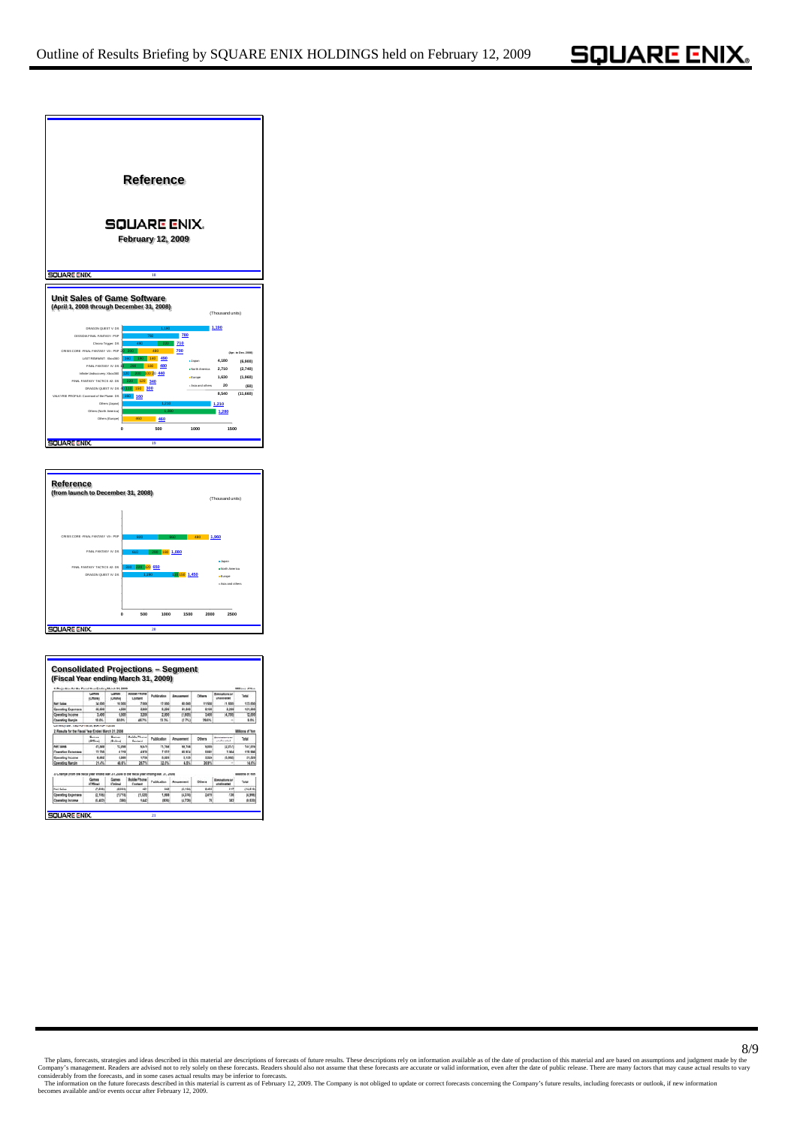



| 1. Projection for the Field Year Engine March 21, 2008.                                           |                        |                         |                                | (Fiscal Year ending March 31, 2009) |                                |                         |                                                               | <b>Millions of Van</b> |
|---------------------------------------------------------------------------------------------------|------------------------|-------------------------|--------------------------------|-------------------------------------|--------------------------------|-------------------------|---------------------------------------------------------------|------------------------|
|                                                                                                   | German<br><b>COMMA</b> | General<br><b>SOMME</b> | <b>Mobile Phone</b><br>Contact | <b>Publication</b>                  | <b><i><u>Amusement</u></i></b> | Officers                | <b>Electroficité</b> of<br><i><b><u>Institute and</u></b></i> | Tetal                  |
| <b>Not Sales</b>                                                                                  | 34,000                 | 10,008                  | 7,000                          | 12,000                              | 63,000                         | 11,500                  | (1.500                                                        | 133,000                |
| <b>Conneling Expenses</b>                                                                         | 34,604                 | 4,606                   | 3,800                          | 6,506                               | \$1,600                        | 8,100                   | 3,566                                                         | 121,000                |
| <b>Operating Income</b>                                                                           | 3,400                  | 6,535                   | 3,200                          | 2,800                               | (1,805)                        | 3,450                   | 04,700                                                        | 12,000                 |
| Couration Marele                                                                                  | <b>95 PN.</b>          | <b>68.0%</b>            | 48.7%                          | <b>23 ML</b>                        | (2.7%)                         | 29.6%                   | $\rightarrow$                                                 | \$.0%                  |
| <b>Not Sales</b>                                                                                  | 81,588                 | 12,998                  | 5,578                          | 11,158                              | 99,704                         | \$105                   | 採用作                                                           |                        |
|                                                                                                   | Games<br><b>IOMENA</b> | Games<br>(Online)       | <b>Mobile Phone</b><br>Content | Publication                         | Amusement                      | Others                  | <b>Elementario 4</b><br>unationaled                           | Total                  |
|                                                                                                   |                        |                         |                                |                                     |                                |                         |                                                               | 147,616                |
| <b>Contative Excesses</b>                                                                         | 33,708                 | 6.218                   | 4,830                          | 7.532                               | 85,974                         | 5,685                   | 3,064                                                         | 125,956                |
| <b>Operating Income</b>                                                                           | 6,662                  | 5,888                   | 1,758                          | 8,626                               | 3.129                          | 5,324                   | 45,6820                                                       | 21,529                 |
| <b>Conrading Margin</b>                                                                           | 21.4%                  | 48.6%                   | 26.7%                          | 32.8%                               | 4.5%                           | 36.9%                   | ÷                                                             | 14.8%                  |
| 3. Change (from the flecal year ended lilar, 31, 2008 to the flecal year ending lilar, 31, 2008). | Games<br><b>COSM</b>   | <br>Cellman             | <b>Mobile Fhone</b><br>Content | Publication                         | Amusement                      | <b>Others</b>           | Elminations in<br>unationated                                 | na od Ven<br>Turball   |
| <b>Net Sales</b>                                                                                  | (7.488)                | 0.598                   | <b>ION</b>                     | 542                                 | 19.164                         | 2.466                   | 647                                                           | 166,676                |
| <b>Operating Expenses</b>                                                                         | (2,106)                | (1,718)                 | (1,828)                        | 1,668                               | 14,274                         | 2,419                   | 138                                                           | 14,908                 |
| <b>Courseling Income</b>                                                                          | (5,482)                | (380)                   | 1,443                          | 19761                               | 14,720                         | $\overline{\mathbf{x}}$ | 382                                                           | (9.820)                |

The plans, forecasts, strategies and ideas described in this material are descriptions of forecasts of future results. These descriptions rely on information available as of the date of production of this material and are